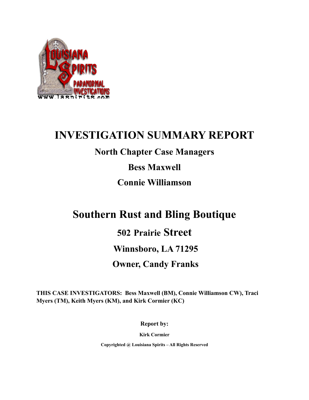

## **INVESTIGATION SUMMARY REPORT**

## **North Chapter Case Managers**

**Bess Maxwell**

**Connie Williamson**

# **Southern Rust and Bling Boutique**

## **502 Prairie Street**

## **Winnsboro, LA 71295**

## **Owner, Candy Franks**

**THIS CASE INVESTIGATORS: Bess Maxwell (BM), Connie Williamson CW), Traci Myers (TM), Keith Myers (KM), and Kirk Cormier (KC)**

**Report by:**

**Kirk Cormier**

**Copyrighted @ Louisiana Spirits – All Rights Reserved**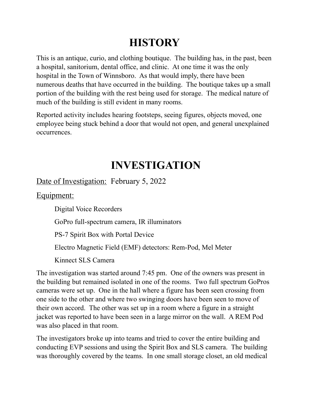# **HISTORY**

This is an antique, curio, and clothing boutique. The building has, in the past, been a hospital, sanitorium, dental office, and clinic. At one time it was the only hospital in the Town of Winnsboro. As that would imply, there have been numerous deaths that have occurred in the building. The boutique takes up a small portion of the building with the rest being used for storage. The medical nature of much of the building is still evident in many rooms.

Reported activity includes hearing footsteps, seeing figures, objects moved, one employee being stuck behind a door that would not open, and general unexplained occurrences.

# **INVESTIGATION**

### Date of Investigation: February 5, 2022

Equipment:

Digital Voice Recorders

GoPro full-spectrum camera, IR illuminators

PS-7 Spirit Box with Portal Device

Electro Magnetic Field (EMF) detectors: Rem-Pod, Mel Meter

Kinnect SLS Camera

The investigation was started around 7:45 pm. One of the owners was present in the building but remained isolated in one of the rooms. Two full spectrum GoPros cameras were set up. One in the hall where a figure has been seen crossing from one side to the other and where two swinging doors have been seen to move of their own accord. The other was set up in a room where a figure in a straight jacket was reported to have been seen in a large mirror on the wall. A REM Pod was also placed in that room.

The investigators broke up into teams and tried to cover the entire building and conducting EVP sessions and using the Spirit Box and SLS camera. The building was thoroughly covered by the teams. In one small storage closet, an old medical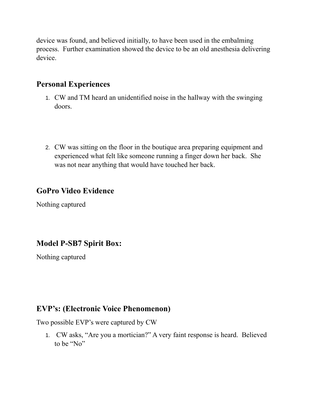device was found, and believed initially, to have been used in the embalming process. Further examination showed the device to be an old anesthesia delivering device.

#### **Personal Experiences**

- 1. CW and TM heard an unidentified noise in the hallway with the swinging doors.
- 2. CW was sitting on the floor in the boutique area preparing equipment and experienced what felt like someone running a finger down her back. She was not near anything that would have touched her back.

#### **GoPro Video Evidence**

Nothing captured

### **Model P-SB7 Spirit Box:**

Nothing captured

#### **EVP's: (Electronic Voice Phenomenon)**

Two possible EVP's were captured by CW

1. CW asks, "Are you a mortician?" A very faint response is heard. Believed to be "No"